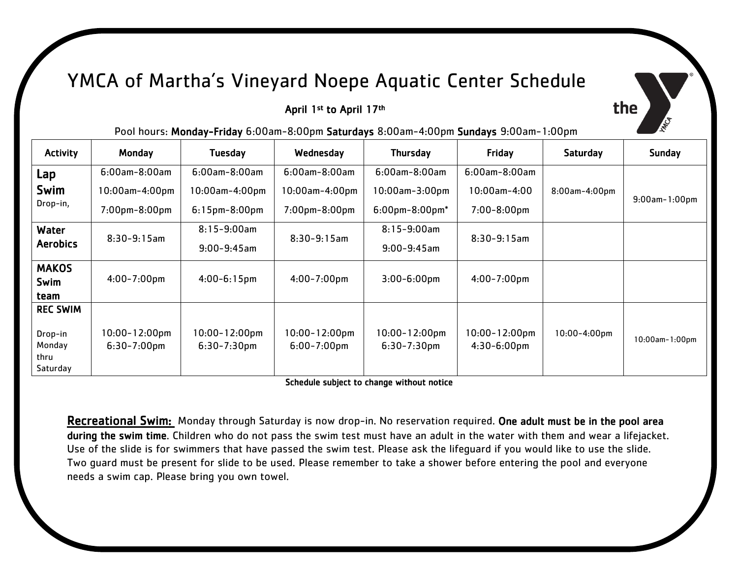## YMCA of Martha's Vineyard Noepe Aquatic Center Schedule

## April 1<sup>st</sup> to April 17<sup>th</sup>

the

Pool hours: Monday-Friday 6:00am-8:00pm Saturdays 8:00am-4:00pm Sundays 9:00am-1:00pm

| <b>Activity</b>                       | Monday                                 | Tuesday                                | Wednesday                              | <b>Thursday</b>                        | Friday                               | Saturday          | <b>Sunday</b>        |
|---------------------------------------|----------------------------------------|----------------------------------------|----------------------------------------|----------------------------------------|--------------------------------------|-------------------|----------------------|
| Lap                                   | $6:00$ am-8:00am                       | $6:00$ am-8:00am                       | $6:00$ am-8:00am                       | $6:00$ am-8:00am                       | $6:00$ am-8:00am                     |                   |                      |
| Swim                                  | $10:00$ am-4:00pm                      | 10:00am-4:00pm                         | $10:00$ am-4:00pm                      | $10:00$ am- $3:00$ pm                  | $10:00$ am $-4:00$                   | 8:00am-4:00pm     | $9:00$ am- $1:00$ pm |
| Drop-in,                              | $7:00$ pm $-8:00$ pm                   | $6:15$ pm $-8:00$ pm                   | $7:00$ pm $-8:00$ pm                   | $6:00$ pm-8:00pm $*$                   | $7:00 - 8:00$ pm                     |                   |                      |
| Water                                 | $8:30-9:15am$                          | $8:15 - 9:00$ am                       | $8:30-9:15am$                          | $8:15 - 9:00$ am                       | $8:30-9:15am$                        |                   |                      |
| <b>Aerobics</b>                       |                                        | $9:00 - 9:45$ am                       |                                        | $9:00 - 9:45$ am                       |                                      |                   |                      |
| <b>MAKOS</b><br>Swim<br>team          | $4:00 - 7:00$ pm                       | $4:00 - 6:15$ pm                       | $4:00 - 7:00$ pm                       | $3:00 - 6:00$ pm                       | $4:00 - 7:00$ pm                     |                   |                      |
| <b>REC SWIM</b>                       |                                        |                                        |                                        |                                        |                                      |                   |                      |
| Drop-in<br>Monday<br>thru<br>Saturday | $10:00 - 12:00$ pm<br>$6:30 - 7:00$ pm | $10:00 - 12:00$ pm<br>$6:30 - 7:30$ pm | $10:00 - 12:00$ pm<br>$6:00 - 7:00$ pm | $10:00 - 12:00$ pm<br>$6:30 - 7:30$ pm | $10:00 - 12:00$ pm<br>$4:30-6:00$ pm | $10:00 - 4:00$ pm | 10:00am-1:00pm       |

Schedule subject to change without notice

Recreational Swim: Monday through Saturday is now drop-in. No reservation required. One adult must be in the pool area during the swim time. Children who do not pass the swim test must have an adult in the water with them and wear a lifejacket. Use of the slide is for swimmers that have passed the swim test. Please ask the lifeguard if you would like to use the slide. Two guard must be present for slide to be used. Please remember to take a shower before entering the pool and everyone needs a swim cap. Please bring you own towel.